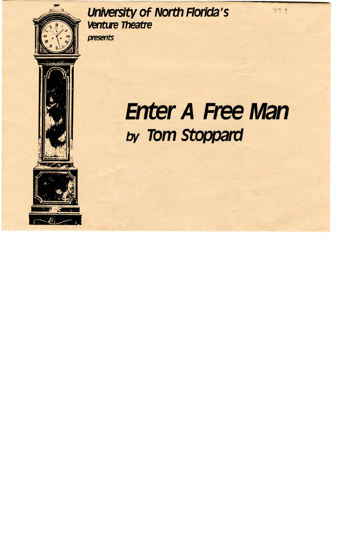

# University of North Florida's **Venture***Theatre*  presents

# **Enter A Free Man**  *by* Tom Stoppard

 $77,7$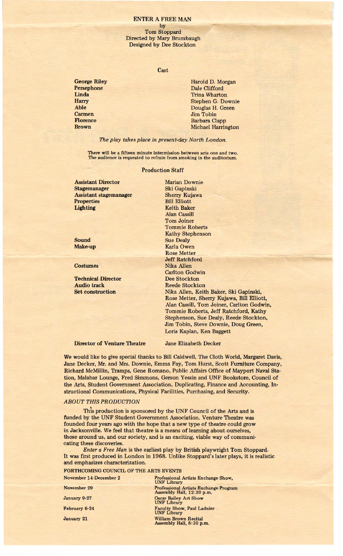## ENTER A FREE MAN

#### by

Tom Stoppard Directed by Mary Brumbaugh Designed by Dee Stockton

#### Cast

**George Riley Persephone Linda Harry Able Carmen Florence Brown** 

Harold D. Morgan Dale Clifford Trina Wharton Stephen G. Downie Douglas H. Green Jim Tobin Barbara Clapp Michael Harrington

*The play takes place in present-day North London.* 

There will be a fifteen minute intermission between acts one and two. The audience is requested to refrain from smoking in the auditorium.

## Production Staff

Assistant Director Stagemanager Assistant stagemanager **Properties** Lighting

**Sound Make-up** 

**Costumes** 

**Technical Director Audio track Set construction** 

Marian Downie Ski Gapinski Sherry Kujawa Bill Elliott Keith Baker Alan Cassill Tom Joiner Tommie Roberts Kathy Stephenson Sue Dealy Karla Owen Rose Metter Jeff Ratchford Nika Allen Carlton Godwin Dee Stockton Reede Stockton Nika Allen, Keith Baker, Ski Gapinski, Rose Metter, Sherry Kujawa, Bill Elliott, Alan Cassill, Tom Joiner, Carlton Godwin, Tommie Roberts, Jeff Ratchford, Kathy Stephenson, Sue Dealy, Reede Stockton, Jim Tobin, Steve Downie, Doug Green, Loris Kaplan, Ken Baggett

**Director of Venture Theatre** 

Jane Elizabeth Decker

We would like to give special thanks to Bill Caldwell, The Cloth World, Margaret Davis, Jane Decker, Mr. and Mrs. Downie, Emma Fay, Tom Hurst, Scott Furniture Company, Richard McMillin, Tramps, Gene Romano, Public Affairs Office of Mayport Naval Station, Malabar Lounge, Fred Simmons, Gerson Yessin and UNF Bookstore, Council of the Arts, Student Government Association, Duplicating, Finance and Accounting, Instructional Communications, Physical Facilities, Purchasing, and Security.

# *ABOUT THIS PRODUCTION*

This production is sponsored by the UNF Council of the Arts and is funded by the UNF Student Government Association. Venture Theatre was founded four years ago with the hope that a new type of theatre could grow in Jacksonville. We feel that theatre is a means of learning about ourselves, those around us, and our society, and is an exciting, viable way of communicating these discoveries.

*Enter a Free Man* is the earliest play by British playwright Tom Stoppard. It was first produced in London in 1968. Unlike Stoppard's later plays, it is realistic and emphasizes characterization.

FORTHCOMING COUNCIL OF THE ARTS EVENTS

| November 14-December 2 | Professional Artists Exchange Show,<br><b>UNF Library</b>                 |
|------------------------|---------------------------------------------------------------------------|
| November 29            | <b>Professional Artists Exchange Program</b><br>Assembly Hall, 12:30 p.m. |
| January 9-27           | <b>Oscar Bailey Art Show</b><br><b>UNF Library</b>                        |
| February 6-24          | <b>Faculty Show, Paul Ladnier</b><br><b>UNF Library</b>                   |
| <b>January 21</b>      | <b>William Brown Recital</b><br>Assembly Hall, 8:30 p.m.                  |